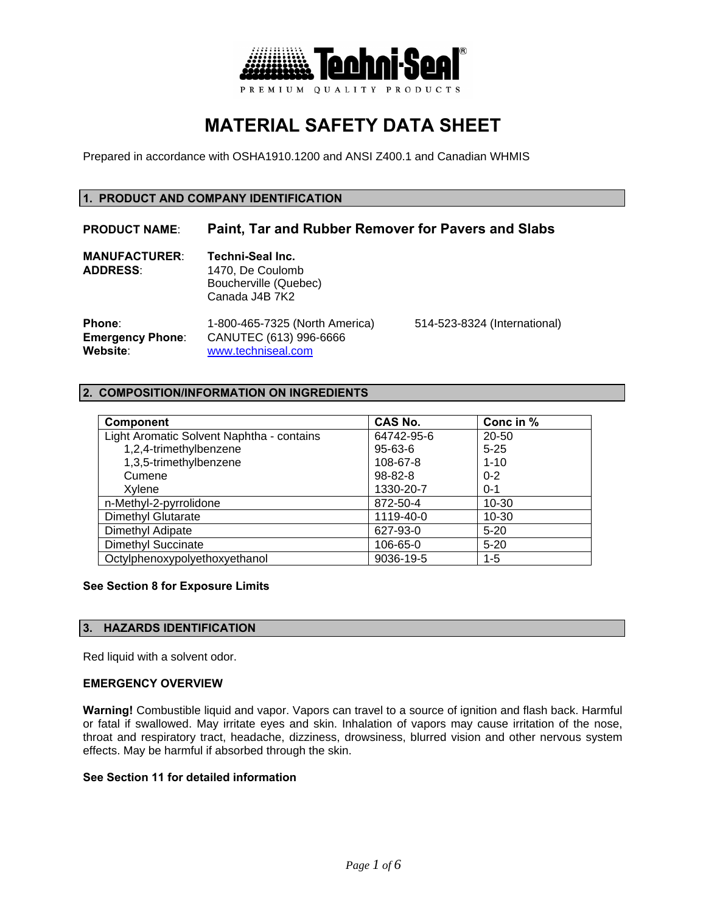

# **MATERIAL SAFETY DATA SHEET**

Prepared in accordance with OSHA1910.1200 and ANSI Z400.1 and Canadian WHMIS

## **1. PRODUCT AND COMPANY IDENTIFICATION**

# **PRODUCT NAME**: **Paint, Tar and Rubber Remover for Pavers and Slabs**

| <b>MANUFACTURER:</b><br><b>ADDRESS:</b> | Techni-Seal Inc.<br>1470, De Coulomb<br>Boucherville (Quebec)<br>Canada J4B 7K2 |                              |  |
|-----------------------------------------|---------------------------------------------------------------------------------|------------------------------|--|
| <b>Phone:</b>                           | 1-800-465-7325 (North America)                                                  | 514-523-8324 (International) |  |
| <b>Emergency Phone:</b>                 | CANUTEC (613) 996-6666                                                          |                              |  |
| Website:                                | www.techniseal.com                                                              |                              |  |

## **2. COMPOSITION/INFORMATION ON INGREDIENTS**

| <b>Component</b>                          | CAS No.       | Conc in % |
|-------------------------------------------|---------------|-----------|
| Light Aromatic Solvent Naphtha - contains | 64742-95-6    | 20-50     |
| 1,2,4-trimethylbenzene                    | $95 - 63 - 6$ | $5 - 25$  |
| 1,3,5-trimethylbenzene                    | 108-67-8      | $1 - 10$  |
| Cumene                                    | 98-82-8       | $0 - 2$   |
| Xvlene                                    | 1330-20-7     | $0 - 1$   |
| n-Methyl-2-pyrrolidone                    | 872-50-4      | $10 - 30$ |
| <b>Dimethyl Glutarate</b>                 | 1119-40-0     | $10 - 30$ |
| Dimethyl Adipate                          | 627-93-0      | $5-20$    |
| <b>Dimethyl Succinate</b>                 | 106-65-0      | $5 - 20$  |
| Octylphenoxypolyethoxyethanol             | 9036-19-5     | $1 - 5$   |

## **See Section 8 for Exposure Limits**

## **3. HAZARDS IDENTIFICATION**

Red liquid with a solvent odor.

#### **EMERGENCY OVERVIEW**

**Warning!** Combustible liquid and vapor. Vapors can travel to a source of ignition and flash back. Harmful or fatal if swallowed. May irritate eyes and skin. Inhalation of vapors may cause irritation of the nose, throat and respiratory tract, headache, dizziness, drowsiness, blurred vision and other nervous system effects. May be harmful if absorbed through the skin.

## **See Section 11 for detailed information**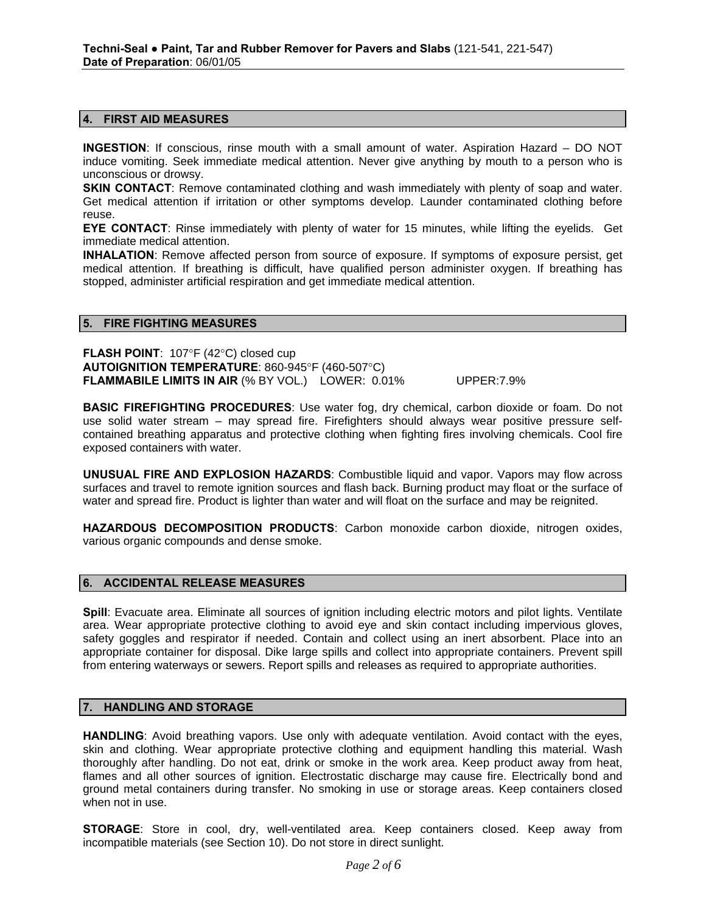#### **4. FIRST AID MEASURES**

**INGESTION**: If conscious, rinse mouth with a small amount of water. Aspiration Hazard – DO NOT induce vomiting. Seek immediate medical attention. Never give anything by mouth to a person who is unconscious or drowsy.

**SKIN CONTACT:** Remove contaminated clothing and wash immediately with plenty of soap and water. Get medical attention if irritation or other symptoms develop. Launder contaminated clothing before reuse.

**EYE CONTACT**: Rinse immediately with plenty of water for 15 minutes, while lifting the eyelids. Get immediate medical attention.

**INHALATION**: Remove affected person from source of exposure. If symptoms of exposure persist, get medical attention. If breathing is difficult, have qualified person administer oxygen. If breathing has stopped, administer artificial respiration and get immediate medical attention.

#### **5. FIRE FIGHTING MEASURES**

**FLASH POINT**: 107°F (42°C) closed cup **AUTOIGNITION TEMPERATURE**: 860-945°F (460-507°C) **FLAMMABILE LIMITS IN AIR** (% BY VOL.) LOWER: 0.01% UPPER:7.9%

**BASIC FIREFIGHTING PROCEDURES**: Use water fog, dry chemical, carbon dioxide or foam. Do not use solid water stream – may spread fire. Firefighters should always wear positive pressure selfcontained breathing apparatus and protective clothing when fighting fires involving chemicals. Cool fire exposed containers with water.

**UNUSUAL FIRE AND EXPLOSION HAZARDS**: Combustible liquid and vapor. Vapors may flow across surfaces and travel to remote ignition sources and flash back. Burning product may float or the surface of water and spread fire. Product is lighter than water and will float on the surface and may be reignited.

**HAZARDOUS DECOMPOSITION PRODUCTS**: Carbon monoxide carbon dioxide, nitrogen oxides, various organic compounds and dense smoke.

## **6. ACCIDENTAL RELEASE MEASURES**

Spill: Evacuate area. Eliminate all sources of ignition including electric motors and pilot lights. Ventilate area. Wear appropriate protective clothing to avoid eye and skin contact including impervious gloves, safety goggles and respirator if needed. Contain and collect using an inert absorbent. Place into an appropriate container for disposal. Dike large spills and collect into appropriate containers. Prevent spill from entering waterways or sewers. Report spills and releases as required to appropriate authorities.

## **7. HANDLING AND STORAGE**

**HANDLING**: Avoid breathing vapors. Use only with adequate ventilation. Avoid contact with the eyes, skin and clothing. Wear appropriate protective clothing and equipment handling this material. Wash thoroughly after handling. Do not eat, drink or smoke in the work area. Keep product away from heat, flames and all other sources of ignition. Electrostatic discharge may cause fire. Electrically bond and ground metal containers during transfer. No smoking in use or storage areas. Keep containers closed when not in use.

**STORAGE**: Store in cool, dry, well-ventilated area. Keep containers closed. Keep away from incompatible materials (see Section 10). Do not store in direct sunlight.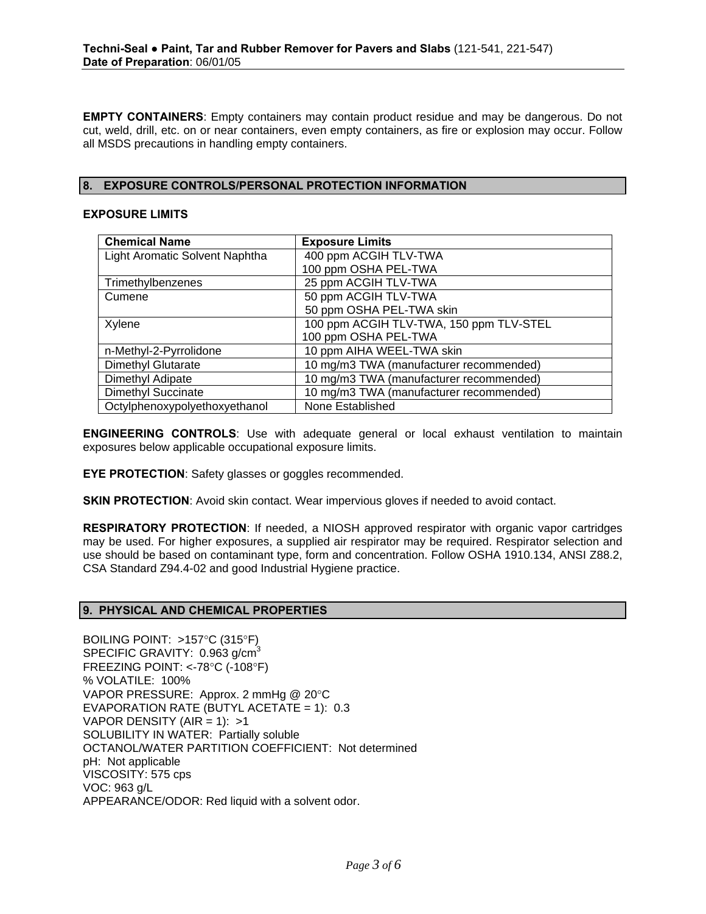**EMPTY CONTAINERS**: Empty containers may contain product residue and may be dangerous. Do not cut, weld, drill, etc. on or near containers, even empty containers, as fire or explosion may occur. Follow all MSDS precautions in handling empty containers.

## **8. EXPOSURE CONTROLS/PERSONAL PROTECTION INFORMATION**

## **EXPOSURE LIMITS**

| <b>Chemical Name</b>           | <b>Exposure Limits</b>                  |
|--------------------------------|-----------------------------------------|
| Light Aromatic Solvent Naphtha | 400 ppm ACGIH TLV-TWA                   |
|                                | 100 ppm OSHA PEL-TWA                    |
| Trimethylbenzenes              | 25 ppm ACGIH TLV-TWA                    |
| Cumene                         | 50 ppm ACGIH TLV-TWA                    |
|                                | 50 ppm OSHA PEL-TWA skin                |
| Xylene                         | 100 ppm ACGIH TLV-TWA, 150 ppm TLV-STEL |
|                                | 100 ppm OSHA PEL-TWA                    |
| n-Methyl-2-Pyrrolidone         | 10 ppm AIHA WEEL-TWA skin               |
| <b>Dimethyl Glutarate</b>      | 10 mg/m3 TWA (manufacturer recommended) |
| Dimethyl Adipate               | 10 mg/m3 TWA (manufacturer recommended) |
| <b>Dimethyl Succinate</b>      | 10 mg/m3 TWA (manufacturer recommended) |
| Octylphenoxypolyethoxyethanol  | None Established                        |

**ENGINEERING CONTROLS**: Use with adequate general or local exhaust ventilation to maintain exposures below applicable occupational exposure limits.

**EYE PROTECTION**: Safety glasses or goggles recommended.

**SKIN PROTECTION:** Avoid skin contact. Wear impervious gloves if needed to avoid contact.

**RESPIRATORY PROTECTION**: If needed, a NIOSH approved respirator with organic vapor cartridges may be used. For higher exposures, a supplied air respirator may be required. Respirator selection and use should be based on contaminant type, form and concentration. Follow OSHA 1910.134, ANSI Z88.2, CSA Standard Z94.4-02 and good Industrial Hygiene practice.

## **9. PHYSICAL AND CHEMICAL PROPERTIES**

BOILING POINT: >157°C (315°F) SPECIFIC GRAVITY: 0.963 g/cm<sup>3</sup> FREEZING POINT: <-78°C (-108°F) % VOLATILE: 100% VAPOR PRESSURE: Approx. 2 mmHg @ 20°C EVAPORATION RATE (BUTYL ACETATE = 1): 0.3 VAPOR DENSITY (AIR = 1):  $>1$ SOLUBILITY IN WATER: Partially soluble OCTANOL/WATER PARTITION COEFFICIENT: Not determined pH: Not applicable VISCOSITY: 575 cps VOC: 963 g/L APPEARANCE/ODOR: Red liquid with a solvent odor.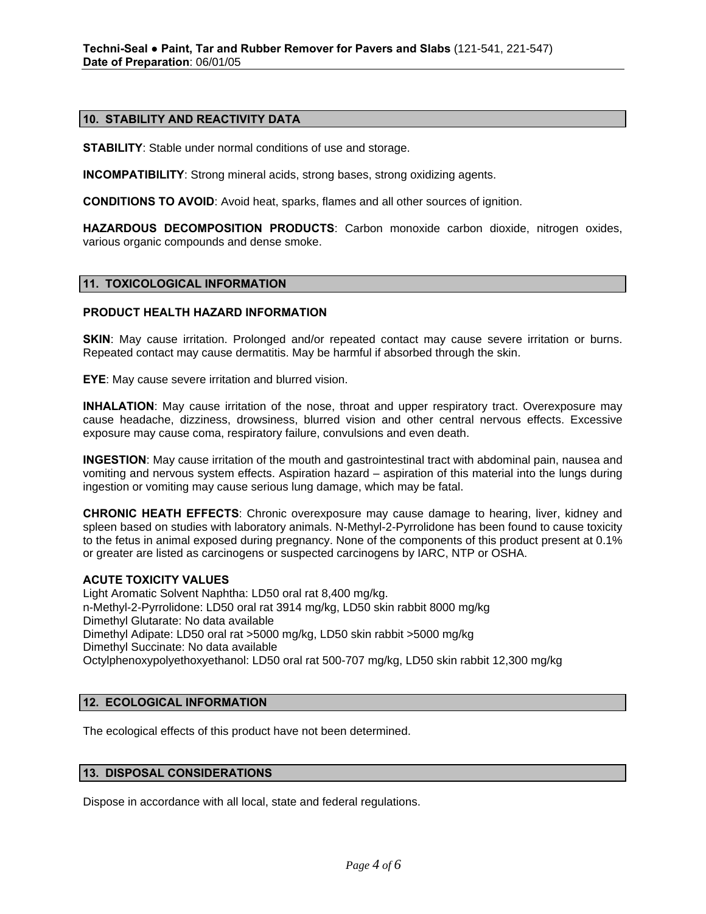## **10. STABILITY AND REACTIVITY DATA**

**STABILITY**: Stable under normal conditions of use and storage.

**INCOMPATIBILITY**: Strong mineral acids, strong bases, strong oxidizing agents.

**CONDITIONS TO AVOID**: Avoid heat, sparks, flames and all other sources of ignition.

**HAZARDOUS DECOMPOSITION PRODUCTS**: Carbon monoxide carbon dioxide, nitrogen oxides, various organic compounds and dense smoke.

#### **11. TOXICOLOGICAL INFORMATION**

## **PRODUCT HEALTH HAZARD INFORMATION**

**SKIN:** May cause irritation. Prolonged and/or repeated contact may cause severe irritation or burns. Repeated contact may cause dermatitis. May be harmful if absorbed through the skin.

**EYE**: May cause severe irritation and blurred vision.

**INHALATION**: May cause irritation of the nose, throat and upper respiratory tract. Overexposure may cause headache, dizziness, drowsiness, blurred vision and other central nervous effects. Excessive exposure may cause coma, respiratory failure, convulsions and even death.

**INGESTION**: May cause irritation of the mouth and gastrointestinal tract with abdominal pain, nausea and vomiting and nervous system effects. Aspiration hazard – aspiration of this material into the lungs during ingestion or vomiting may cause serious lung damage, which may be fatal.

**CHRONIC HEATH EFFECTS**: Chronic overexposure may cause damage to hearing, liver, kidney and spleen based on studies with laboratory animals. N-Methyl-2-Pyrrolidone has been found to cause toxicity to the fetus in animal exposed during pregnancy. None of the components of this product present at 0.1% or greater are listed as carcinogens or suspected carcinogens by IARC, NTP or OSHA.

#### **ACUTE TOXICITY VALUES**

Light Aromatic Solvent Naphtha: LD50 oral rat 8,400 mg/kg. n-Methyl-2-Pyrrolidone: LD50 oral rat 3914 mg/kg, LD50 skin rabbit 8000 mg/kg Dimethyl Glutarate: No data available Dimethyl Adipate: LD50 oral rat >5000 mg/kg, LD50 skin rabbit >5000 mg/kg Dimethyl Succinate: No data available Octylphenoxypolyethoxyethanol: LD50 oral rat 500-707 mg/kg, LD50 skin rabbit 12,300 mg/kg

## **12. ECOLOGICAL INFORMATION**

The ecological effects of this product have not been determined.

#### **13. DISPOSAL CONSIDERATIONS**

Dispose in accordance with all local, state and federal regulations.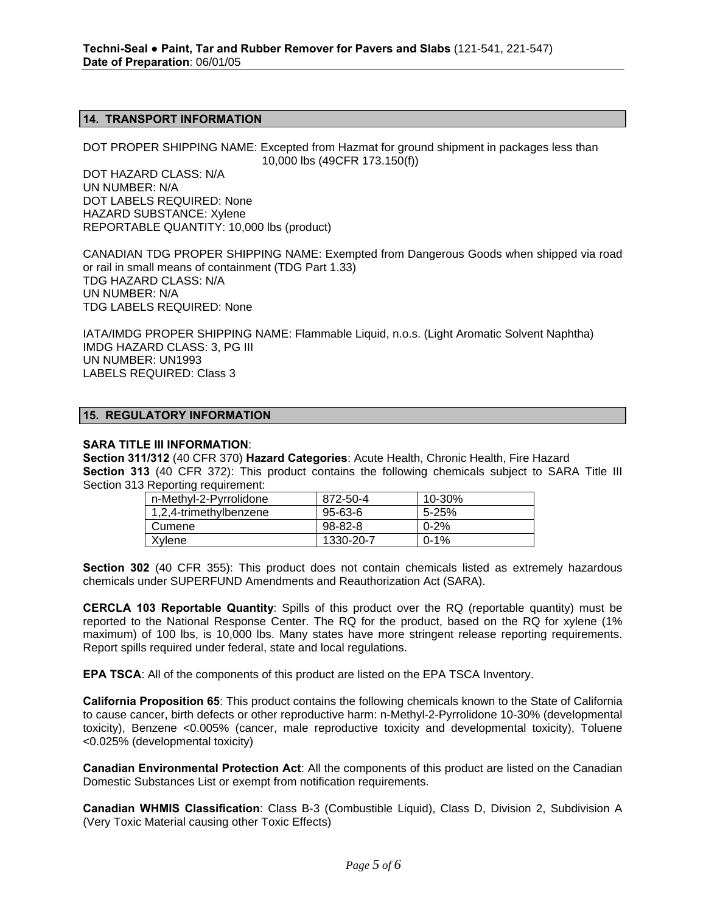#### **14. TRANSPORT INFORMATION**

DOT PROPER SHIPPING NAME: Excepted from Hazmat for ground shipment in packages less than 10,000 lbs (49CFR 173.150(f))

DOT HAZARD CLASS: N/A UN NUMBER: N/A DOT LABELS REQUIRED: None HAZARD SUBSTANCE: Xylene REPORTABLE QUANTITY: 10,000 lbs (product)

CANADIAN TDG PROPER SHIPPING NAME: Exempted from Dangerous Goods when shipped via road or rail in small means of containment (TDG Part 1.33) TDG HAZARD CLASS: N/A UN NUMBER: N/A TDG LABELS REQUIRED: None

IATA/IMDG PROPER SHIPPING NAME: Flammable Liquid, n.o.s. (Light Aromatic Solvent Naphtha) IMDG HAZARD CLASS: 3, PG III UN NUMBER: UN1993 LABELS REQUIRED: Class 3

## **15. REGULATORY INFORMATION**

#### **SARA TITLE III INFORMATION**:

**Section 311/312** (40 CFR 370) **Hazard Categories**: Acute Health, Chronic Health, Fire Hazard **Section 313** (40 CFR 372): This product contains the following chemicals subject to SARA Title III Section 313 Reporting requirement:

| n-Methyl-2-Pyrrolidone | 872-50-4      | 10-30%    |
|------------------------|---------------|-----------|
| 1,2,4-trimethylbenzene | 95-63-6       | $5 - 25%$ |
| Cumene                 | $98 - 82 - 8$ | 0-2%      |
| Xylene                 | 1330-20-7     | $0 - 1\%$ |

**Section 302** (40 CFR 355): This product does not contain chemicals listed as extremely hazardous chemicals under SUPERFUND Amendments and Reauthorization Act (SARA).

**CERCLA 103 Reportable Quantity**: Spills of this product over the RQ (reportable quantity) must be reported to the National Response Center. The RQ for the product, based on the RQ for xylene (1% maximum) of 100 lbs, is 10,000 lbs. Many states have more stringent release reporting requirements. Report spills required under federal, state and local regulations.

**EPA TSCA**: All of the components of this product are listed on the EPA TSCA Inventory.

**California Proposition 65**: This product contains the following chemicals known to the State of California to cause cancer, birth defects or other reproductive harm: n-Methyl-2-Pyrrolidone 10-30% (developmental toxicity), Benzene <0.005% (cancer, male reproductive toxicity and developmental toxicity), Toluene <0.025% (developmental toxicity)

**Canadian Environmental Protection Act**: All the components of this product are listed on the Canadian Domestic Substances List or exempt from notification requirements.

**Canadian WHMIS Classification**: Class B-3 (Combustible Liquid), Class D, Division 2, Subdivision A (Very Toxic Material causing other Toxic Effects)